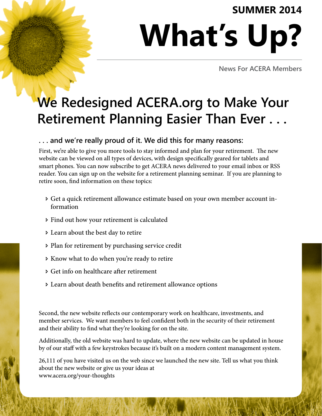## **SUMMER 2014**

## **What's Up?**

**News For ACERA Members**

## **We Redesigned ACERA.org to Make Your Retirement Planning Easier Than Ever . . .**

#### **. . . and we're really proud of it. We did this for many reasons:**

First, we're able to give you more tools to stay informed and plan for your retirement. The new website can be viewed on all types of devices, with design specifically geared for tablets and smart phones. You can now subscribe to get ACERA news delivered to your email inbox or RSS reader. You can sign up on the website for a retirement planning seminar. If you are planning to retire soon, find information on these topics:

- Ð Get a quick retirement allowance estimate based on your own member account information
- Ð Find out how your retirement is calculated
- Ð Learn about the best day to retire
- Ð Plan for retirement by purchasing service credit
- Ð Know what to do when you're ready to retire
- Ð Get info on healthcare after retirement
- Ð Learn about death benefits and retirement allowance options

Second, the new website reflects our contemporary work on healthcare, investments, and member services. We want members to feel confident both in the security of their retirement and their ability to find what they're looking for on the site.

Additionally, the old website was hard to update, where the new website can be updated in house by of our staff with a few keystrokes because it's built on a modern content management system.

26,111 of you have visited us on the web since we launched the new site. Tell us what you think about the new website or give us your ideas at www.acera.org/your-thoughts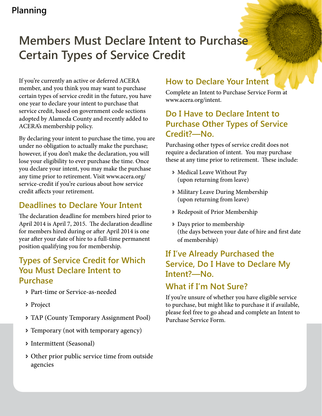## **Members Must Declare Intent to Purchase Certain Types of Service Credit**

If you're currently an active or deferred ACERA member, and you think you may want to purchase certain types of service credit in the future, you have one year to declare your intent to purchase that service credit, based on government code sections adopted by Alameda County and recently added to ACERA's membership policy.

By declaring your intent to purchase the time, you are under no obligation to actually make the purchase; however, if you don't make the declaration, you will lose your eligibility to ever purchase the time. Once you declare your intent, you may make the purchase any time prior to retirement. Visit www.acera.org/ service-credit if you're curious about how service credit affects your retirement.

## **Deadlines to Declare Your Intent**

The declaration deadline for members hired prior to April 2014 is April 7, 2015. The declaration deadline for members hired during or after April 2014 is one year after your date of hire to a full-time permanent position qualifying you for membership.

## **Types of Service Credit for Which You Must Declare Intent to Purchase**

- Ð Part-time or Service-as-needed
- Ð Project
- Ð TAP (County Temporary Assignment Pool)
- Ð Temporary (not with temporary agency)
- Ð Intermittent (Seasonal)
- Ð Other prior public service time from outside agencies

#### **How to Declare Your Intent**

Complete an Intent to Purchase Service Form at www.acera.org/intent.

## **Do I Have to Declare Intent to Purchase Other Types of Service Credit?—No.**

Purchasing other types of service credit does not require a declaration of intent. You may purchase these at any time prior to retirement. These include:

- Ð Medical Leave Without Pay (upon returning from leave)
- Ð Military Leave During Membership (upon returning from leave)
- Ð Redeposit of Prior Membership
- Ð Days prior to membership (the days between your date of hire and first date of membership)

## **If I've Already Purchased the Service, Do I Have to Declare My Intent?—No.**

## **What if I'm Not Sure?**

If you're unsure of whether you have eligible service to purchase, but might like to purchase it if available, please feel free to go ahead and complete an Intent to Purchase Service Form.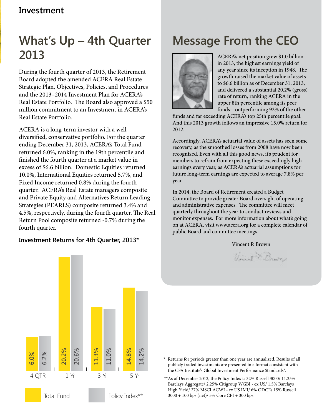## **Investment**

## **What's Up – 4th Quarter 2013**

During the fourth quarter of 2013, the Retirement Board adopted the amended ACERA Real Estate Strategic Plan, Objectives, Policies, and Procedures and the 2013–2014 Investment Plan for ACERA's Real Estate Portfolio. The Board also approved a \$50 million commitment to an Investment in ACERA's Real Estate Portfolio.

ACERA is a long-term investor with a welldiversified, conservative portfolio. For the quarter ending December 31, 2013, ACERA's Total Fund returned 6.0%, ranking in the 19th percentile and finished the fourth quarter at a market value in excess of \$6.6 billion. Domestic Equities returned 10.0%, International Equities returned 5.7%, and Fixed Income returned 0.8% during the fourth quarter. ACERA's Real Estate managers composite and Private Equity and Alternatives Return Leading Strategies (PEARLS) composite returned 3.4% and 4.5%, respectively, during the fourth quarter. The Real Return Pool composite returned -0.7% during the fourth quarter.

#### **Investment Returns for 4th Quarter, 2013\***





ACERA's net position grew \$1.0 billion in 2013, the highest earnings yield of any year since its inception in 1948. The growth raised the market value of assets to \$6.6 billion as of December 31, 2013, and delivered a substantial 20.2% (gross) rate of return, ranking ACERA in the upper 8th percentile among its peer funds—outperforming 92% of the other

funds and far exceeding ACERA's top 25th percentile goal. And this 2013 growth follows an impressive 15.0% return for 2012.

Accordingly, ACERA's actuarial value of assets has seen some recovery, as the smoothed losses from 2008 have now been recognized. Even with all this good news, it's prudent for members to refrain from expecting these exceedingly high earnings every year, as ACERA's actuarial assumptions for future long-term earnings are expected to average 7.8% per year.

In 2014, the Board of Retirement created a Budget Committee to provide greater Board oversight of operating and administrative expenses. The committee will meet quarterly throughout the year to conduct reviews and monitor expenses. For more information about what's going on at ACERA, visit www.acera.org for a complete calendar of public Board and committee meetings.

Vincent P. Brown

Unest & Brown



- Returns for periods greater than one year are annualized. Results of all publicly traded investments are presented in a format consistent with the CFA Institute's Global Investment Performance Standards®.
- \*\*As of December 2012, the Policy Index is 32% Russell 3000/ 11.25% Barclays Aggregate/ 2.25% Citigroup WGBI - ex US/ 1.5% Barclays High Yield/ 27% MSCI ACWI - ex US IMI/ 6% ODCE/ 15% Russell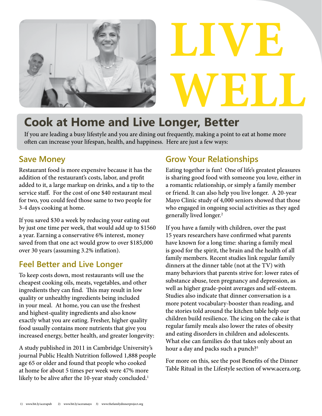

# **LIVE WELL**

## **Cook at Home and Live Longer, Better**

If you are leading a busy lifestyle and you are dining out frequently, making a point to eat at home more often can increase your lifespan, health, and happiness. Here are just a few ways:

## **Save Money**

Restaurant food is more expensive because it has the addition of the restaurant's costs, labor, and profit added to it, a large markup on drinks, and a tip to the service staff. For the cost of one \$40 restaurant meal for two, you could feed those same to two people for 3-4 days cooking at home.

If you saved \$30 a week by reducing your eating out by just one time per week, that would add up to \$1560 a year. Earning a conservative 6% interest, money saved from that one act would grow to over \$185,000 over 30 years (assuming 3.2% inflation).

## **Feel Better and Live Longer**

To keep costs down, most restaurants will use the cheapest cooking oils, meats, vegetables, and other ingredients they can find. This may result in low quality or unhealthy ingredients being included in your meal. At home, you can use the freshest and highest-quality ingredients and also know exactly what you are eating. Fresher, higher quality food usually contains more nutrients that give you increased energy, better health, and greater longevity:

A study published in 2011 in Cambridge University's journal Public Health Nutrition followed 1,888 people age 65 or older and found that people who cooked at home for about 5 times per week were 47% more likely to be alive after the 10-year study concluded.<sup>1</sup>

## **Grow Your Relationships**

Eating together is fun! One of life's greatest pleasures is sharing good food with someone you love, either in a romantic relationship, or simply a family member or friend. It can also help you live longer. A 20-year Mayo Clinic study of 4,000 seniors showed that those who engaged in ongoing social activities as they aged generally lived longer.<sup>2</sup>

If you have a family with children, over the past 15 years researchers have confirmed what parents have known for a long time: sharing a family meal is good for the spirit, the brain and the health of all family members. Recent studies link regular family dinners at the dinner table (not at the TV) with many behaviors that parents strive for: lower rates of substance abuse, teen pregnancy and depression, as well as higher grade-point averages and self-esteem. Studies also indicate that dinner conversation is a more potent vocabulary-booster than reading, and the stories told around the kitchen table help our children build resilience. The icing on the cake is that regular family meals also lower the rates of obesity and eating disorders in children and adolescents. What else can families do that takes only about an hour a day and packs such a punch?<sup>3</sup>

For more on this, see the post Benefits of the Dinner Table Ritual in the Lifestyle section of www.acera.org.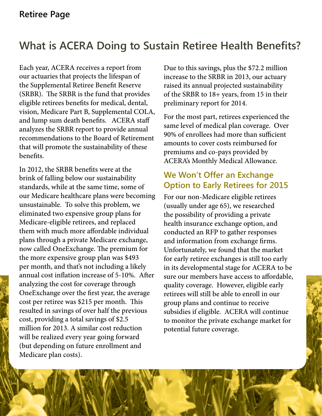## **What is ACERA Doing to Sustain Retiree Health Benefits?**

Each year, ACERA receives a report from our actuaries that projects the lifespan of the Supplemental Retiree Benefit Reserve (SRBR). The SRBR is the fund that provides eligible retirees benefits for medical, dental, vision, Medicare Part B, Supplemental COLA, and lump sum death benefits. ACERA staff analyzes the SRBR report to provide annual recommendations to the Board of Retirement that will promote the sustainability of these benefits.

In 2012, the SRBR benefits were at the brink of falling below our sustainability standards, while at the same time, some of our Medicare healthcare plans were becoming unsustainable. To solve this problem, we eliminated two expensive group plans for Medicare-eligible retirees, and replaced them with much more affordable individual plans through a private Medicare exchange, now called OneExchange. The premium for the more expensive group plan was \$493 per month, and that's not including a likely annual cost inflation increase of 5-10%. After analyzing the cost for coverage through OneExchange over the first year, the average cost per retiree was \$215 per month. This resulted in savings of over half the previous cost, providing a total savings of \$2.5 million for 2013. A similar cost reduction will be realized every year going forward (but depending on future enrollment and Medicare plan costs).

Due to this savings, plus the \$72.2 million increase to the SRBR in 2013, our actuary raised its annual projected sustainability of the SRBR to 18+ years, from 15 in their preliminary report for 2014.

For the most part, retirees experienced the same level of medical plan coverage. Over 90% of enrollees had more than sufficient amounts to cover costs reimbursed for premiums and co-pays provided by ACERA's Monthly Medical Allowance.

#### **We Won't Offer an Exchange Option to Early Retirees for 2015**

For our non-Medicare eligible retirees (usually under age 65), we researched the possibility of providing a private health insurance exchange option, and conducted an RFP to gather responses and information from exchange firms. Unfortunately, we found that the market for early retiree exchanges is still too early in its developmental stage for ACERA to be sure our members have access to affordable, quality coverage. However, eligible early retirees will still be able to enroll in our group plans and continue to receive subsidies if eligible. ACERA will continue to monitor the private exchange market for potential future coverage.